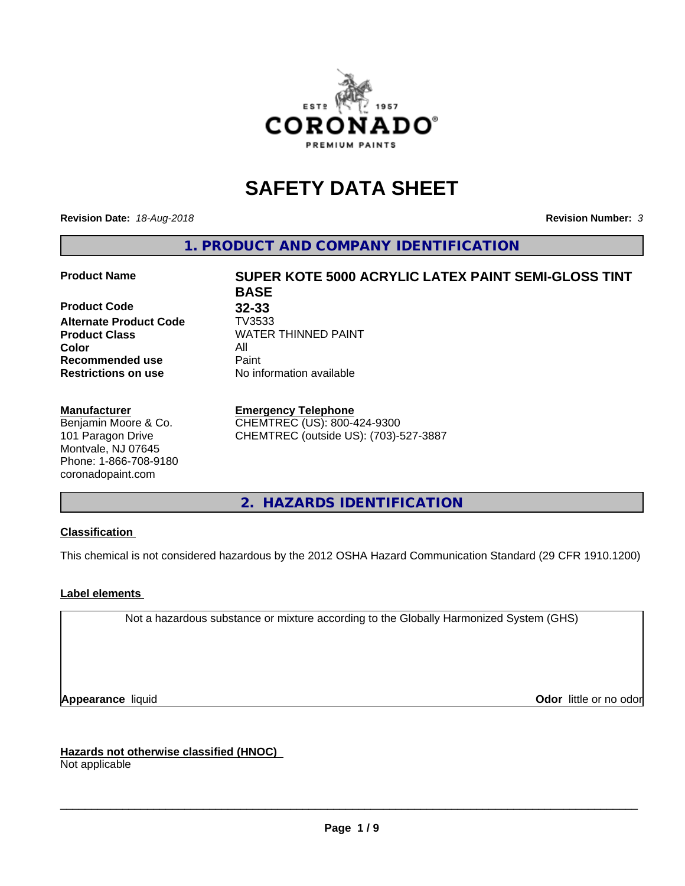

# **SAFETY DATA SHEET**

**Revision Date:** *18-Aug-2018* **Revision Number:** *3*

**1. PRODUCT AND COMPANY IDENTIFICATION**

#### **Product Name SUPER KOTE 5000 ACRYLIC LATEX PAINT SEMI-GLOSS TINT**

**Product Code 32-33**<br>**Alternate Product Code 7V3533 Alternate Product Code Color** All **Recommended use** Paint **Restrictions on use** No information available

#### **Manufacturer**

Benjamin Moore & Co. 101 Paragon Drive Montvale, NJ 07645 Phone: 1-866-708-9180 coronadopaint.com

**BASE Product Class** WATER THINNED PAINT<br>
Color

#### **Emergency Telephone**

CHEMTREC (US): 800-424-9300 CHEMTREC (outside US): (703)-527-3887

**2. HAZARDS IDENTIFICATION**

## **Classification**

This chemical is not considered hazardous by the 2012 OSHA Hazard Communication Standard (29 CFR 1910.1200)

## **Label elements**

Not a hazardous substance or mixture according to the Globally Harmonized System (GHS)

**Appearance** liquid **Contract Contract Contract Contract Contract Contract Contract Contract Contract Contract Contract Contract Contract Contract Contract Contract Contract Contract Contract Contract Contract Contract Con** 

**Hazards not otherwise classified (HNOC)**

Not applicable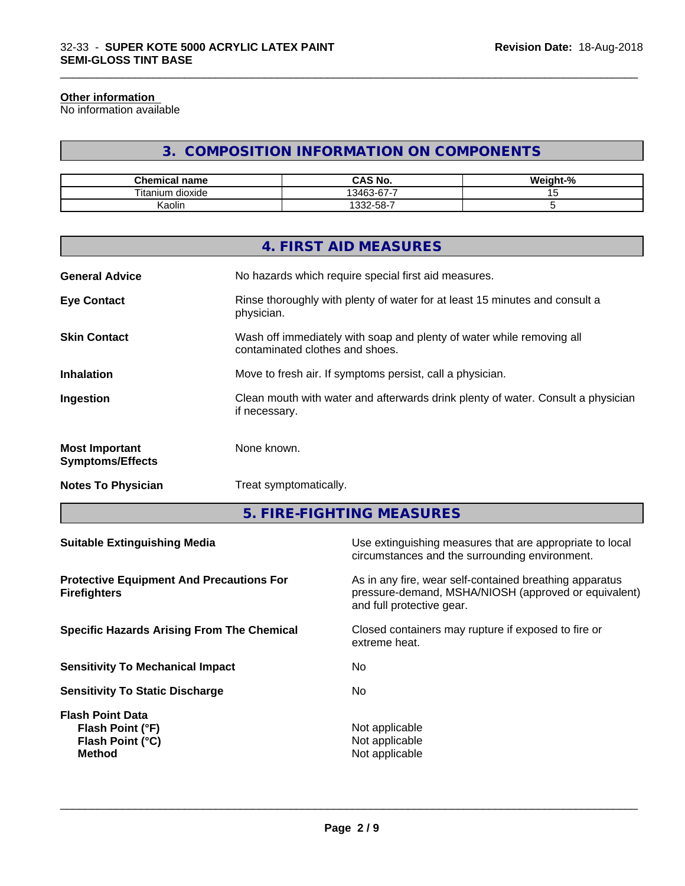#### **Other information**

No information available

# **3. COMPOSITION INFORMATION ON COMPONENTS**

\_\_\_\_\_\_\_\_\_\_\_\_\_\_\_\_\_\_\_\_\_\_\_\_\_\_\_\_\_\_\_\_\_\_\_\_\_\_\_\_\_\_\_\_\_\_\_\_\_\_\_\_\_\_\_\_\_\_\_\_\_\_\_\_\_\_\_\_\_\_\_\_\_\_\_\_\_\_\_\_\_\_\_\_\_\_\_\_\_\_\_\_\_

| Chemical<br>⊟name            | <b>CAS No.</b>                  | <br>$\sim$<br>"veight-"∶<br>'70 |
|------------------------------|---------------------------------|---------------------------------|
| Titanı<br><br>dioxide<br>um. | $\sim$<br>-<br>13463<br>$3 - n$ |                                 |
| <br>Kaolin                   | $32-58-7$                       |                                 |

|                                                  | 4. FIRST AID MEASURES                                                                                    |
|--------------------------------------------------|----------------------------------------------------------------------------------------------------------|
| <b>General Advice</b>                            | No hazards which require special first aid measures.                                                     |
| <b>Eye Contact</b>                               | Rinse thoroughly with plenty of water for at least 15 minutes and consult a<br>physician.                |
| <b>Skin Contact</b>                              | Wash off immediately with soap and plenty of water while removing all<br>contaminated clothes and shoes. |
| <b>Inhalation</b>                                | Move to fresh air. If symptoms persist, call a physician.                                                |
| Ingestion                                        | Clean mouth with water and afterwards drink plenty of water. Consult a physician<br>if necessary.        |
| <b>Most Important</b><br><b>Symptoms/Effects</b> | None known.                                                                                              |
| <b>Notes To Physician</b>                        | Treat symptomatically.                                                                                   |
|                                                  |                                                                                                          |

**5. FIRE-FIGHTING MEASURES**

| Use extinguishing measures that are appropriate to local<br>circumstances and the surrounding environment.                                   |
|----------------------------------------------------------------------------------------------------------------------------------------------|
| As in any fire, wear self-contained breathing apparatus<br>pressure-demand, MSHA/NIOSH (approved or equivalent)<br>and full protective gear. |
| Closed containers may rupture if exposed to fire or<br>extreme heat.                                                                         |
| No.                                                                                                                                          |
| No.                                                                                                                                          |
| Not applicable<br>Not applicable<br>Not applicable                                                                                           |
|                                                                                                                                              |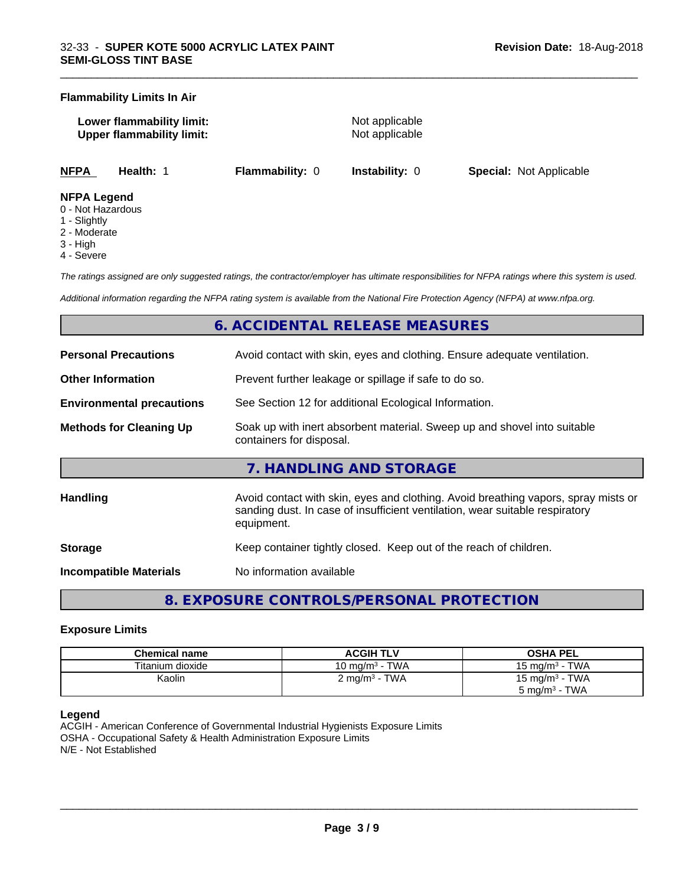#### **Flammability Limits In Air**

**Lower flammability limit:** Not applicable **Upper flammability limit:** Not applicable

\_\_\_\_\_\_\_\_\_\_\_\_\_\_\_\_\_\_\_\_\_\_\_\_\_\_\_\_\_\_\_\_\_\_\_\_\_\_\_\_\_\_\_\_\_\_\_\_\_\_\_\_\_\_\_\_\_\_\_\_\_\_\_\_\_\_\_\_\_\_\_\_\_\_\_\_\_\_\_\_\_\_\_\_\_\_\_\_\_\_\_\_\_

**NFPA Health:** 1 **Flammability:** 0 **Instability:** 0 **Special:** Not Applicable

#### **NFPA Legend**

- 0 Not Hazardous
- 1 Slightly
- 2 Moderate
- 3 High
- 4 Severe

*The ratings assigned are only suggested ratings, the contractor/employer has ultimate responsibilities for NFPA ratings where this system is used.*

*Additional information regarding the NFPA rating system is available from the National Fire Protection Agency (NFPA) at www.nfpa.org.*

# **6. ACCIDENTAL RELEASE MEASURES**

| <b>Personal Precautions</b>      | Avoid contact with skin, eyes and clothing. Ensure adequate ventilation.                                                                                                         |
|----------------------------------|----------------------------------------------------------------------------------------------------------------------------------------------------------------------------------|
| <b>Other Information</b>         | Prevent further leakage or spillage if safe to do so.                                                                                                                            |
| <b>Environmental precautions</b> | See Section 12 for additional Ecological Information.                                                                                                                            |
| <b>Methods for Cleaning Up</b>   | Soak up with inert absorbent material. Sweep up and shovel into suitable<br>containers for disposal.                                                                             |
|                                  | 7. HANDLING AND STORAGE                                                                                                                                                          |
| <b>Handling</b>                  | Avoid contact with skin, eyes and clothing. Avoid breathing vapors, spray mists or<br>sanding dust. In case of insufficient ventilation, wear suitable respiratory<br>equipment. |
| <b>Storage</b>                   | Keep container tightly closed. Keep out of the reach of children.                                                                                                                |
| <b>Incompatible Materials</b>    | No information available                                                                                                                                                         |

**8. EXPOSURE CONTROLS/PERSONAL PROTECTION**

#### **Exposure Limits**

| <b>Chemical name</b> | <b>ACGIH TLV</b>         | <b>OSHA PEL</b>            |
|----------------------|--------------------------|----------------------------|
| Titanium dioxide     | 10 mg/m $3$ - TWA        | 15 mg/m $3$ - TWA          |
| Kaolin               | $2 \text{ mg/m}^3$ - TWA | 15 mg/m <sup>3</sup> - TWA |
|                      |                          | $5 \text{ mg/m}^3$ - TWA   |

#### **Legend**

ACGIH - American Conference of Governmental Industrial Hygienists Exposure Limits OSHA - Occupational Safety & Health Administration Exposure Limits N/E - Not Established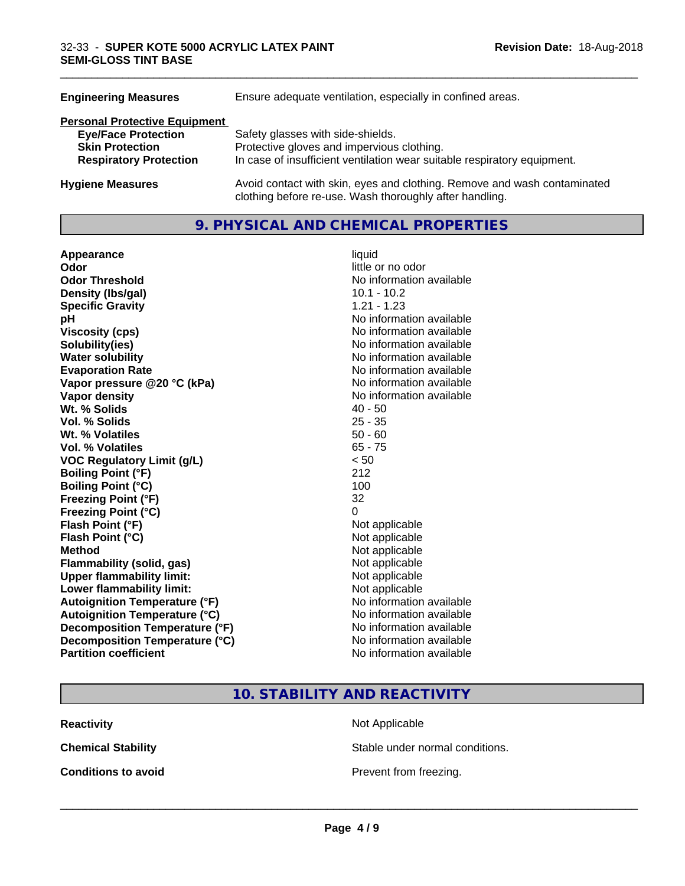| <b>Engineering Measures</b>          | Ensure adequate ventilation, especially in confined areas.                                                                          |  |
|--------------------------------------|-------------------------------------------------------------------------------------------------------------------------------------|--|
| <b>Personal Protective Equipment</b> |                                                                                                                                     |  |
| <b>Eye/Face Protection</b>           | Safety glasses with side-shields.                                                                                                   |  |
| <b>Skin Protection</b>               | Protective gloves and impervious clothing.                                                                                          |  |
| <b>Respiratory Protection</b>        | In case of insufficient ventilation wear suitable respiratory equipment.                                                            |  |
| <b>Hygiene Measures</b>              | Avoid contact with skin, eyes and clothing. Remove and wash contaminated<br>clothing before re-use. Wash thoroughly after handling. |  |

## **9. PHYSICAL AND CHEMICAL PROPERTIES**

| Appearance                           | liquid                   |
|--------------------------------------|--------------------------|
| Odor                                 | little or no odor        |
| <b>Odor Threshold</b>                | No information available |
| Density (Ibs/gal)                    | $10.1 - 10.2$            |
| <b>Specific Gravity</b>              | $1.21 - 1.23$            |
| рH                                   | No information available |
| <b>Viscosity (cps)</b>               | No information available |
| Solubility(ies)                      | No information available |
| <b>Water solubility</b>              | No information available |
| <b>Evaporation Rate</b>              | No information available |
| Vapor pressure @20 °C (kPa)          | No information available |
| Vapor density                        | No information available |
| Wt. % Solids                         | $40 - 50$                |
| <b>Vol. % Solids</b>                 | $25 - 35$                |
| Wt. % Volatiles                      | $50 - 60$                |
| Vol. % Volatiles                     | $65 - 75$                |
| <b>VOC Regulatory Limit (g/L)</b>    | < 50                     |
| <b>Boiling Point (°F)</b>            | 212                      |
| <b>Boiling Point (°C)</b>            | 100                      |
| <b>Freezing Point (°F)</b>           | 32                       |
| <b>Freezing Point (°C)</b>           | 0                        |
| Flash Point (°F)                     | Not applicable           |
| Flash Point (°C)                     | Not applicable           |
| <b>Method</b>                        | Not applicable           |
| <b>Flammability (solid, gas)</b>     | Not applicable           |
| <b>Upper flammability limit:</b>     | Not applicable           |
| Lower flammability limit:            | Not applicable           |
| <b>Autoignition Temperature (°F)</b> | No information available |
| <b>Autoignition Temperature (°C)</b> | No information available |
| Decomposition Temperature (°F)       | No information available |
| Decomposition Temperature (°C)       | No information available |
| <b>Partition coefficient</b>         | No information available |

# little or no odor **No information available No information available Viscosity (cps)** No information available **No information available No information available Evaporation Rate** No information available **No information available No information available**<br>40 - 50 **Not applicable Not applicable** Not applicable **Flammability (solid, gas)** Not applicable **Not applicable Not applicable No information available Autoignition Temperature (°C)** No information available **No information available No information available No information available**

\_\_\_\_\_\_\_\_\_\_\_\_\_\_\_\_\_\_\_\_\_\_\_\_\_\_\_\_\_\_\_\_\_\_\_\_\_\_\_\_\_\_\_\_\_\_\_\_\_\_\_\_\_\_\_\_\_\_\_\_\_\_\_\_\_\_\_\_\_\_\_\_\_\_\_\_\_\_\_\_\_\_\_\_\_\_\_\_\_\_\_\_\_

# **10. STABILITY AND REACTIVITY**

| <b>Reactivity</b> |
|-------------------|
|                   |

**Not Applicable** 

**Chemical Stability Stable under normal conditions.** 

**Conditions to avoid Conditions to avoid Prevent from freezing.**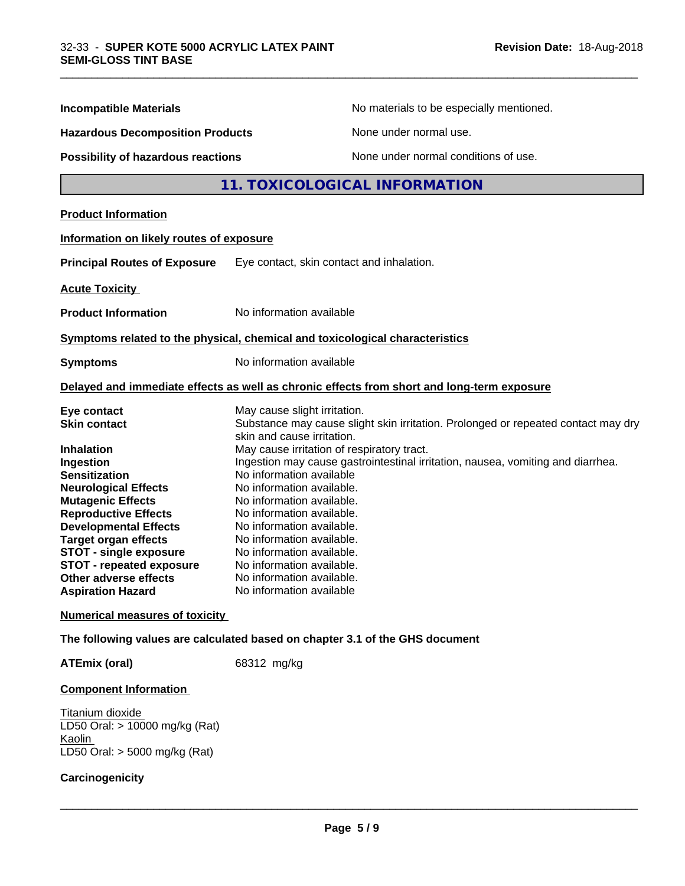|                                           | No materials to be especially mentioned.                                                                        |  |
|-------------------------------------------|-----------------------------------------------------------------------------------------------------------------|--|
| <b>Incompatible Materials</b>             |                                                                                                                 |  |
| <b>Hazardous Decomposition Products</b>   | None under normal use.                                                                                          |  |
| <b>Possibility of hazardous reactions</b> | None under normal conditions of use.                                                                            |  |
|                                           | 11. TOXICOLOGICAL INFORMATION                                                                                   |  |
| <b>Product Information</b>                |                                                                                                                 |  |
| Information on likely routes of exposure  |                                                                                                                 |  |
| <b>Principal Routes of Exposure</b>       | Eye contact, skin contact and inhalation.                                                                       |  |
| <b>Acute Toxicity</b>                     |                                                                                                                 |  |
| <b>Product Information</b>                | No information available                                                                                        |  |
|                                           | Symptoms related to the physical, chemical and toxicological characteristics                                    |  |
| <b>Symptoms</b>                           | No information available                                                                                        |  |
|                                           | Delayed and immediate effects as well as chronic effects from short and long-term exposure                      |  |
| Eye contact                               | May cause slight irritation.                                                                                    |  |
| <b>Skin contact</b>                       | Substance may cause slight skin irritation. Prolonged or repeated contact may dry<br>skin and cause irritation. |  |
| Inhalation                                | May cause irritation of respiratory tract.                                                                      |  |
| Ingestion                                 | Ingestion may cause gastrointestinal irritation, nausea, vomiting and diarrhea.                                 |  |
| <b>Sensitization</b>                      | No information available                                                                                        |  |
| <b>Neurological Effects</b>               | No information available.                                                                                       |  |
| <b>Mutagenic Effects</b>                  | No information available.                                                                                       |  |
| <b>Reproductive Effects</b>               | No information available.                                                                                       |  |
| <b>Developmental Effects</b>              | No information available.                                                                                       |  |
| <b>Target organ effects</b>               | No information available.                                                                                       |  |
| <b>STOT - single exposure</b>             | No information available.                                                                                       |  |
| <b>STOT - repeated exposure</b>           | No information available.                                                                                       |  |
| Other adverse effects                     | No information available.                                                                                       |  |
| <b>Aspiration Hazard</b>                  | No information available                                                                                        |  |
| <b>Numerical measures of toxicity</b>     |                                                                                                                 |  |
|                                           | The following values are calculated based on chapter 3.1 of the GHS document                                    |  |

\_\_\_\_\_\_\_\_\_\_\_\_\_\_\_\_\_\_\_\_\_\_\_\_\_\_\_\_\_\_\_\_\_\_\_\_\_\_\_\_\_\_\_\_\_\_\_\_\_\_\_\_\_\_\_\_\_\_\_\_\_\_\_\_\_\_\_\_\_\_\_\_\_\_\_\_\_\_\_\_\_\_\_\_\_\_\_\_\_\_\_\_\_

**ATEmix (oral)** 68312 mg/kg

## **Component Information**

Titanium dioxide LD50 Oral: > 10000 mg/kg (Rat) **Kaolin** LD50 Oral: > 5000 mg/kg (Rat)

#### **Carcinogenicity**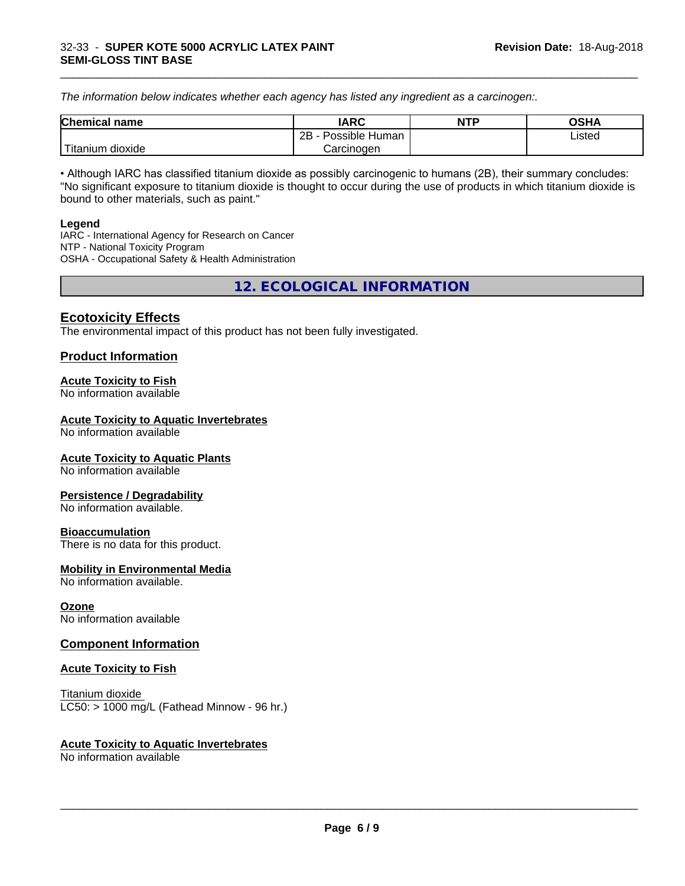*The information below indicateswhether each agency has listed any ingredient as a carcinogen:.*

| <b>Chemical</b><br>name  | <b>IARC</b>                    | <b>NTP</b> | <b>OSHA</b> |
|--------------------------|--------------------------------|------------|-------------|
|                          | . .<br>2B<br>Possible<br>Human |            | Listed<br>. |
| .<br>dioxide<br>⊺itanium | Carcinogen                     |            |             |

\_\_\_\_\_\_\_\_\_\_\_\_\_\_\_\_\_\_\_\_\_\_\_\_\_\_\_\_\_\_\_\_\_\_\_\_\_\_\_\_\_\_\_\_\_\_\_\_\_\_\_\_\_\_\_\_\_\_\_\_\_\_\_\_\_\_\_\_\_\_\_\_\_\_\_\_\_\_\_\_\_\_\_\_\_\_\_\_\_\_\_\_\_

• Although IARC has classified titanium dioxide as possibly carcinogenic to humans (2B), their summary concludes: "No significant exposure to titanium dioxide is thought to occur during the use of products in which titanium dioxide is bound to other materials, such as paint."

#### **Legend**

IARC - International Agency for Research on Cancer NTP - National Toxicity Program OSHA - Occupational Safety & Health Administration

**12. ECOLOGICAL INFORMATION**

# **Ecotoxicity Effects**

The environmental impact of this product has not been fully investigated.

## **Product Information**

#### **Acute Toxicity to Fish**

No information available

#### **Acute Toxicity to Aquatic Invertebrates**

No information available

#### **Acute Toxicity to Aquatic Plants**

No information available

#### **Persistence / Degradability**

No information available.

#### **Bioaccumulation**

There is no data for this product.

#### **Mobility in Environmental Media**

No information available.

#### **Ozone**

No information available

## **Component Information**

#### **Acute Toxicity to Fish**

Titanium dioxide  $LC50:$  > 1000 mg/L (Fathead Minnow - 96 hr.)

#### **Acute Toxicity to Aquatic Invertebrates**

No information available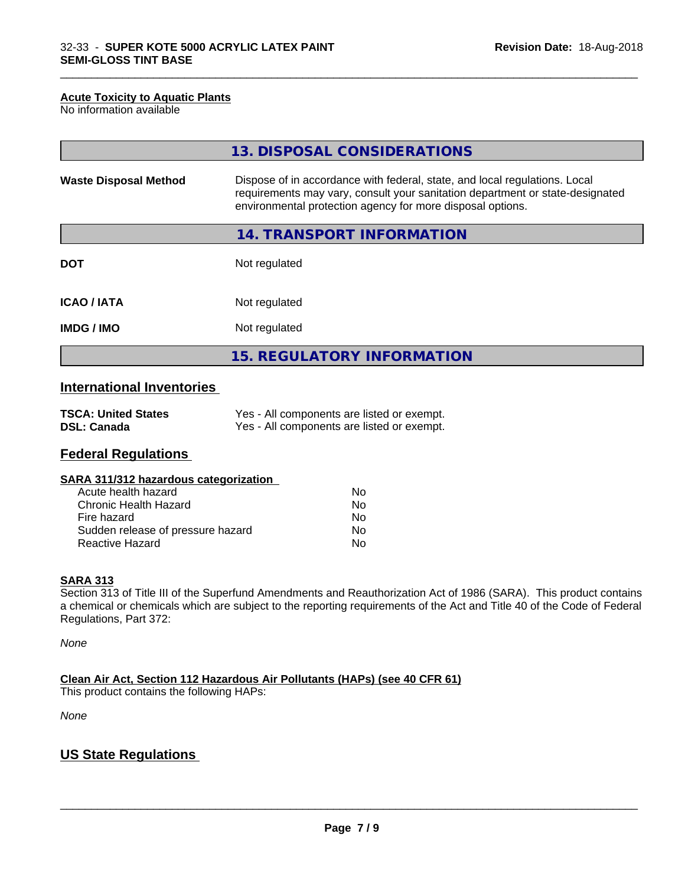#### **Acute Toxicity to Aquatic Plants**

No information available

|                              | 13. DISPOSAL CONSIDERATIONS                                                                                                                                                                                               |
|------------------------------|---------------------------------------------------------------------------------------------------------------------------------------------------------------------------------------------------------------------------|
| <b>Waste Disposal Method</b> | Dispose of in accordance with federal, state, and local regulations. Local<br>requirements may vary, consult your sanitation department or state-designated<br>environmental protection agency for more disposal options. |
|                              | 14. TRANSPORT INFORMATION                                                                                                                                                                                                 |
| <b>DOT</b>                   | Not regulated                                                                                                                                                                                                             |
| <b>ICAO/IATA</b>             | Not regulated                                                                                                                                                                                                             |
| <b>IMDG/IMO</b>              | Not regulated                                                                                                                                                                                                             |
|                              | 15. REGULATORY INFORMATION                                                                                                                                                                                                |

\_\_\_\_\_\_\_\_\_\_\_\_\_\_\_\_\_\_\_\_\_\_\_\_\_\_\_\_\_\_\_\_\_\_\_\_\_\_\_\_\_\_\_\_\_\_\_\_\_\_\_\_\_\_\_\_\_\_\_\_\_\_\_\_\_\_\_\_\_\_\_\_\_\_\_\_\_\_\_\_\_\_\_\_\_\_\_\_\_\_\_\_\_

# **International Inventories**

| <b>TSCA: United States</b> | Yes - All components are listed or exempt. |
|----------------------------|--------------------------------------------|
| <b>DSL: Canada</b>         | Yes - All components are listed or exempt. |

# **Federal Regulations**

| SARA 311/312 hazardous categorization |    |  |
|---------------------------------------|----|--|
| Acute health hazard                   | Nο |  |
| Chronic Health Hazard                 | Nο |  |
| Fire hazard                           | Nο |  |
| Sudden release of pressure hazard     | N٥ |  |

Reactive Hazard No

#### **SARA 313**

Section 313 of Title III of the Superfund Amendments and Reauthorization Act of 1986 (SARA). This product contains a chemical or chemicals which are subject to the reporting requirements of the Act and Title 40 of the Code of Federal Regulations, Part 372:

*None*

**Clean Air Act,Section 112 Hazardous Air Pollutants (HAPs) (see 40 CFR 61)**

This product contains the following HAPs:

*None*

# **US State Regulations**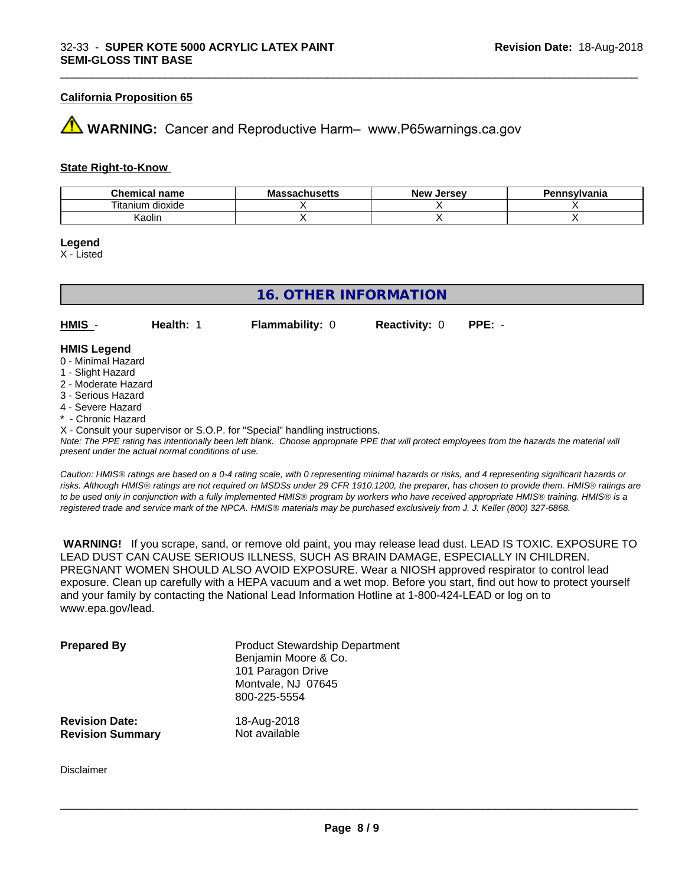#### **California Proposition 65**

# **WARNING:** Cancer and Reproductive Harm– www.P65warnings.ca.gov

#### **State Right-to-Know**

| Chemical<br>name     | - -<br>ма<br>achucatta<br>⊿dü∏us <del>c</del> us | <b>Jersev</b><br>Nev | าทรงIvania |
|----------------------|--------------------------------------------------|----------------------|------------|
| dioxide<br>l itanium |                                                  |                      |            |
| Kaolin               |                                                  |                      |            |

\_\_\_\_\_\_\_\_\_\_\_\_\_\_\_\_\_\_\_\_\_\_\_\_\_\_\_\_\_\_\_\_\_\_\_\_\_\_\_\_\_\_\_\_\_\_\_\_\_\_\_\_\_\_\_\_\_\_\_\_\_\_\_\_\_\_\_\_\_\_\_\_\_\_\_\_\_\_\_\_\_\_\_\_\_\_\_\_\_\_\_\_\_

#### **Legend**

X - Listed

| <b>16. OTHER INFORMATION</b>                                               |                  |                        |                      |          |  |
|----------------------------------------------------------------------------|------------------|------------------------|----------------------|----------|--|
| HMIS -                                                                     | <b>Health: 1</b> | <b>Flammability: 0</b> | <b>Reactivity: 0</b> | $PPE: -$ |  |
| <b>HMIS Legend</b>                                                         |                  |                        |                      |          |  |
| 0 - Minimal Hazard                                                         |                  |                        |                      |          |  |
| 1 - Slight Hazard                                                          |                  |                        |                      |          |  |
| 2 - Moderate Hazard                                                        |                  |                        |                      |          |  |
| 3 - Serious Hazard                                                         |                  |                        |                      |          |  |
| 4 - Severe Hazard                                                          |                  |                        |                      |          |  |
| * - Chronic Hazard                                                         |                  |                        |                      |          |  |
| X - Consult your supervisor or S.O.P. for "Special" handling instructions. |                  |                        |                      |          |  |

*Note: The PPE rating has intentionally been left blank. Choose appropriate PPE that will protect employees from the hazards the material will present under the actual normal conditions of use.*

*Caution: HMISÒ ratings are based on a 0-4 rating scale, with 0 representing minimal hazards or risks, and 4 representing significant hazards or risks. Although HMISÒ ratings are not required on MSDSs under 29 CFR 1910.1200, the preparer, has chosen to provide them. HMISÒ ratings are to be used only in conjunction with a fully implemented HMISÒ program by workers who have received appropriate HMISÒ training. HMISÒ is a registered trade and service mark of the NPCA. HMISÒ materials may be purchased exclusively from J. J. Keller (800) 327-6868.*

 **WARNING!** If you scrape, sand, or remove old paint, you may release lead dust. LEAD IS TOXIC. EXPOSURE TO LEAD DUST CAN CAUSE SERIOUS ILLNESS, SUCH AS BRAIN DAMAGE, ESPECIALLY IN CHILDREN. PREGNANT WOMEN SHOULD ALSO AVOID EXPOSURE. Wear a NIOSH approved respirator to control lead exposure. Clean up carefully with a HEPA vacuum and a wet mop. Before you start, find out how to protect yourself and your family by contacting the National Lead Information Hotline at 1-800-424-LEAD or log on to www.epa.gov/lead.

| <b>Prepared By</b>      | <b>Product Stewardship Department</b><br>Benjamin Moore & Co.<br>101 Paragon Drive<br>Montvale, NJ 07645<br>800-225-5554 |
|-------------------------|--------------------------------------------------------------------------------------------------------------------------|
| <b>Revision Date:</b>   | 18-Aug-2018                                                                                                              |
| <b>Revision Summary</b> | Not available                                                                                                            |

Disclaimer